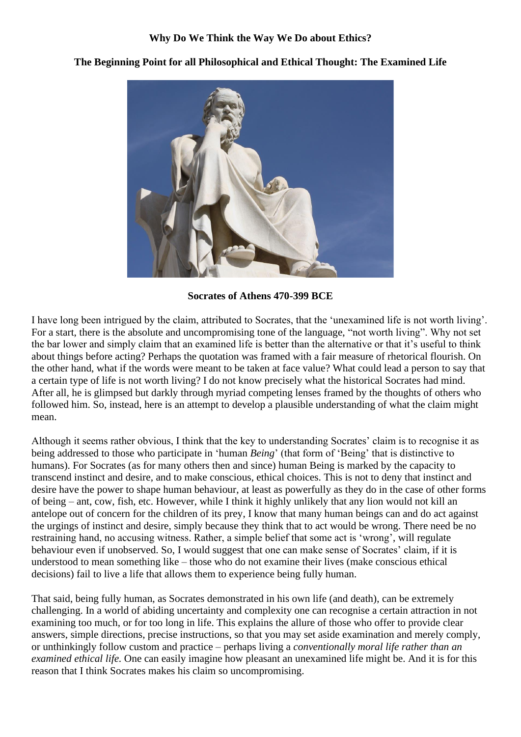

**The Beginning Point for all Philosophical and Ethical Thought: The Examined Life**

**Socrates of Athens 470-399 BCE**

I have long been intrigued by the claim, attributed to Socrates, that the 'unexamined life is not worth living'. For a start, there is the absolute and uncompromising tone of the language, "not worth living". Why not set the bar lower and simply claim that an examined life is better than the alternative or that it's useful to think about things before acting? Perhaps the quotation was framed with a fair measure of rhetorical flourish. On the other hand, what if the words were meant to be taken at face value? What could lead a person to say that a certain type of life is not worth living? I do not know precisely what the historical Socrates had mind. After all, he is glimpsed but darkly through myriad competing lenses framed by the thoughts of others who followed him. So, instead, here is an attempt to develop a plausible understanding of what the claim might mean.

Although it seems rather obvious, I think that the key to understanding Socrates' claim is to recognise it as being addressed to those who participate in 'human *Being*' (that form of 'Being' that is distinctive to humans). For Socrates (as for many others then and since) human Being is marked by the capacity to transcend instinct and desire, and to make conscious, ethical choices. This is not to deny that instinct and desire have the power to shape human behaviour, at least as powerfully as they do in the case of other forms of being – ant, cow, fish, etc. However, while I think it highly unlikely that any lion would not kill an antelope out of concern for the children of its prey, I know that many human beings can and do act against the urgings of instinct and desire, simply because they think that to act would be wrong. There need be no restraining hand, no accusing witness. Rather, a simple belief that some act is 'wrong', will regulate behaviour even if unobserved. So, I would suggest that one can make sense of Socrates' claim, if it is understood to mean something like – those who do not examine their lives (make conscious ethical decisions) fail to live a life that allows them to experience being fully human.

That said, being fully human, as Socrates demonstrated in his own life (and death), can be extremely challenging. In a world of abiding uncertainty and complexity one can recognise a certain attraction in not examining too much, or for too long in life. This explains the allure of those who offer to provide clear answers, simple directions, precise instructions, so that you may set aside examination and merely comply, or unthinkingly follow custom and practice – perhaps living a *conventionally moral life rather than an examined ethical life.* One can easily imagine how pleasant an unexamined life might be. And it is for this reason that I think Socrates makes his claim so uncompromising.